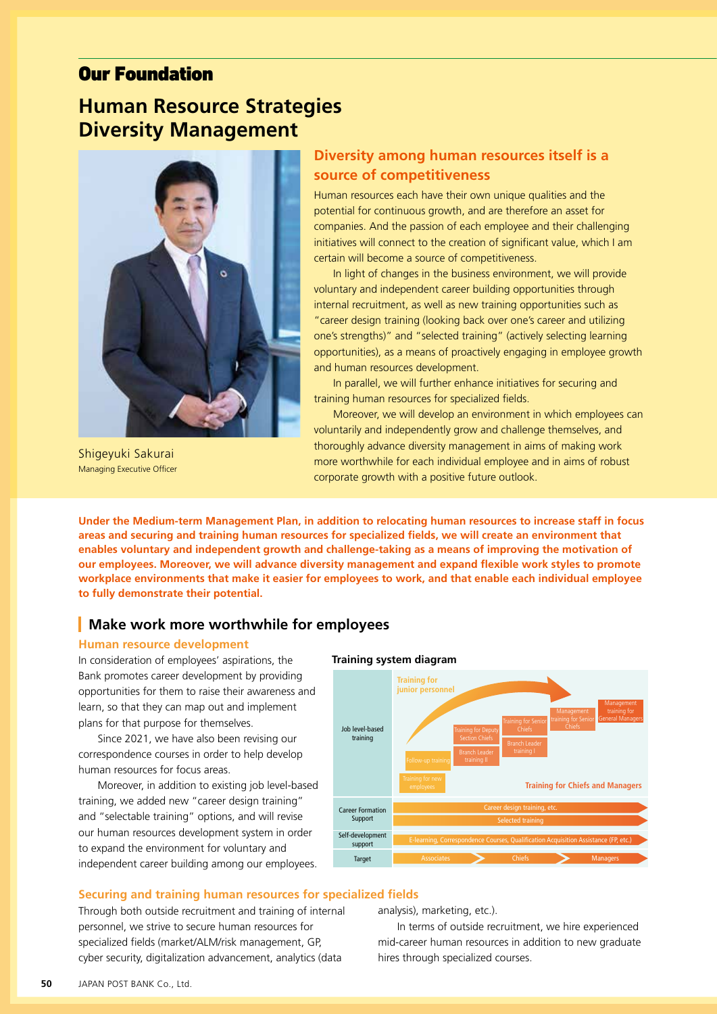# Our Foundation

# **Human Resource Strategies Diversity Management**



Shigeyuki Sakurai Managing Executive Officer

# **Diversity among human resources itself is a source of competitiveness**

Human resources each have their own unique qualities and the potential for continuous growth, and are therefore an asset for companies. And the passion of each employee and their challenging initiatives will connect to the creation of significant value, which I am certain will become a source of competitiveness.

In light of changes in the business environment, we will provide voluntary and independent career building opportunities through internal recruitment, as well as new training opportunities such as "career design training (looking back over one's career and utilizing one's strengths)" and "selected training" (actively selecting learning opportunities), as a means of proactively engaging in employee growth and human resources development.

In parallel, we will further enhance initiatives for securing and training human resources for specialized fields.

Moreover, we will develop an environment in which employees can voluntarily and independently grow and challenge themselves, and thoroughly advance diversity management in aims of making work more worthwhile for each individual employee and in aims of robust corporate growth with a positive future outlook.

**Under the Medium-term Management Plan, in addition to relocating human resources to increase staff in focus areas and securing and training human resources for specialized fields, we will create an environment that enables voluntary and independent growth and challenge-taking as a means of improving the motivation of our employees. Moreover, we will advance diversity management and expand flexible work styles to promote workplace environments that make it easier for employees to work, and that enable each individual employee to fully demonstrate their potential.**

## **Make work more worthwhile for employees**

## **Human resource development**

In consideration of employees' aspirations, the Bank promotes career development by providing opportunities for them to raise their awareness and learn, so that they can map out and implement plans for that purpose for themselves.

Since 2021, we have also been revising our correspondence courses in order to help develop human resources for focus areas.

Moreover, in addition to existing job level-based training, we added new "career design training" and "selectable training" options, and will revise our human resources development system in order to expand the environment for voluntary and independent career building among our employees.





#### **Securing and training human resources for specialized fields**

Through both outside recruitment and training of internal personnel, we strive to secure human resources for specialized fields (market/ALM/risk management, GP, cyber security, digitalization advancement, analytics (data

analysis), marketing, etc.).

In terms of outside recruitment, we hire experienced mid-career human resources in addition to new graduate hires through specialized courses.